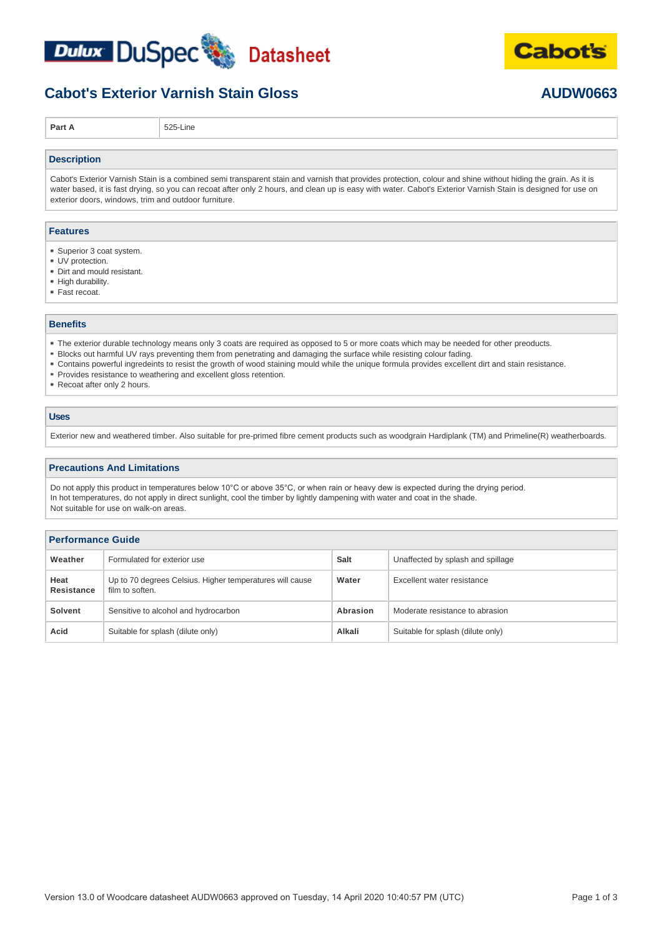



## **Cabot's Exterior Varnish Stain Gloss AUDW0663**

**Part A** 525-Line

#### **Description**

Cabot's Exterior Varnish Stain is a combined semi transparent stain and varnish that provides protection, colour and shine without hiding the grain. As it is water based, it is fast drying, so you can recoat after only 2 hours, and clean up is easy with water. Cabot's Exterior Varnish Stain is designed for use on exterior doors, windows, trim and outdoor furniture.

#### **Features**

- Superior 3 coat system.
- UV protection.
- Dirt and mould resistant.
- High durability.
- Fast recoat.

### **Benefits**

- The exterior durable technology means only 3 coats are required as opposed to 5 or more coats which may be needed for other preoducts.
- Blocks out harmful UV rays preventing them from penetrating and damaging the surface while resisting colour fading.
- Contains powerful ingredeints to resist the growth of wood staining mould while the unique formula provides excellent dirt and stain resistance.
- **Provides resistance to weathering and excellent gloss retention.**
- Recoat after only 2 hours.

### **Uses**

Exterior new and weathered timber. Also suitable for pre-primed fibre cement products such as woodgrain Hardiplank (TM) and Primeline(R) weatherboards.

#### **Precautions And Limitations**

Do not apply this product in temperatures below 10°C or above 35°C, or when rain or heavy dew is expected during the drying period. In hot temperatures, do not apply in direct sunlight, cool the timber by lightly dampening with water and coat in the shade. Not suitable for use on walk-on areas.

| <b>Performance Guide</b> |                                                                             |                                             |                                   |  |  |
|--------------------------|-----------------------------------------------------------------------------|---------------------------------------------|-----------------------------------|--|--|
| Weather                  | Formulated for exterior use                                                 | Salt                                        | Unaffected by splash and spillage |  |  |
| Heat<br>Resistance       | Up to 70 degrees Celsius. Higher temperatures will cause<br>film to soften. | Water                                       | Excellent water resistance        |  |  |
| <b>Solvent</b>           | Sensitive to alcohol and hydrocarbon                                        | Moderate resistance to abrasion<br>Abrasion |                                   |  |  |
| Acid                     | Suitable for splash (dilute only)                                           | Alkali                                      | Suitable for splash (dilute only) |  |  |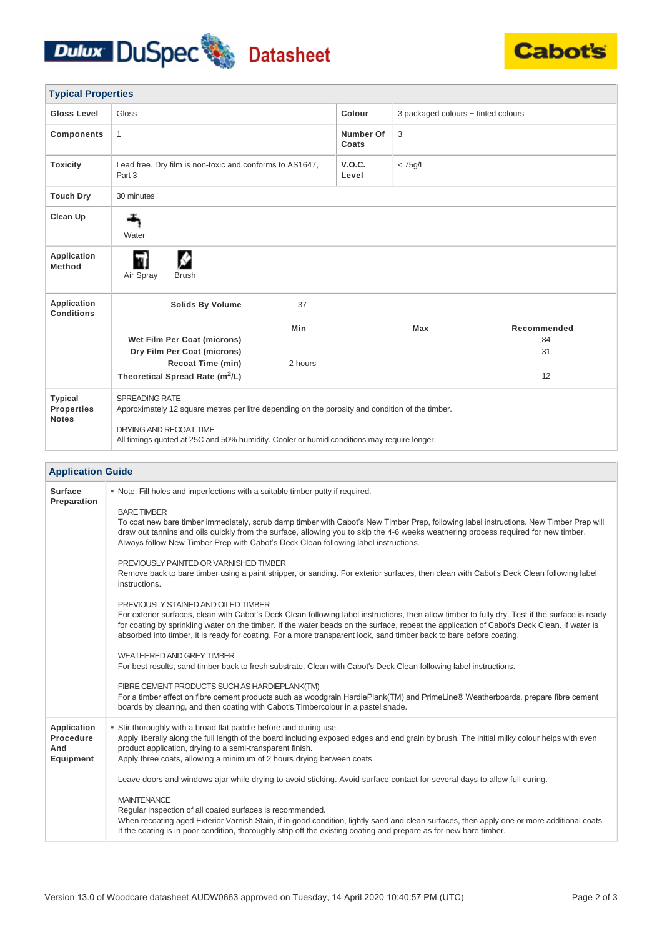# Dulux DuSpec Datasheet



| <b>Typical Properties</b>                                  |                                                                                                                                                                                                                                                                                                                                                                                                                                                               |                    |                                     |             |  |  |  |
|------------------------------------------------------------|---------------------------------------------------------------------------------------------------------------------------------------------------------------------------------------------------------------------------------------------------------------------------------------------------------------------------------------------------------------------------------------------------------------------------------------------------------------|--------------------|-------------------------------------|-------------|--|--|--|
| <b>Gloss Level</b>                                         | Gloss                                                                                                                                                                                                                                                                                                                                                                                                                                                         | Colour             | 3 packaged colours + tinted colours |             |  |  |  |
| <b>Components</b>                                          | $\mathbf{1}$                                                                                                                                                                                                                                                                                                                                                                                                                                                  | Number Of<br>Coats | 3                                   |             |  |  |  |
| <b>Toxicity</b>                                            | Lead free. Dry film is non-toxic and conforms to AS1647,<br>Part 3                                                                                                                                                                                                                                                                                                                                                                                            | V.O.C.<br>Level    | $<$ 75g/L                           |             |  |  |  |
| <b>Touch Dry</b>                                           | 30 minutes                                                                                                                                                                                                                                                                                                                                                                                                                                                    |                    |                                     |             |  |  |  |
| Clean Up                                                   | Water                                                                                                                                                                                                                                                                                                                                                                                                                                                         |                    |                                     |             |  |  |  |
| <b>Application</b><br><b>Method</b>                        | ø<br>Air Spray<br><b>Brush</b>                                                                                                                                                                                                                                                                                                                                                                                                                                |                    |                                     |             |  |  |  |
| Application<br><b>Conditions</b>                           | Solids By Volume<br>37                                                                                                                                                                                                                                                                                                                                                                                                                                        |                    |                                     |             |  |  |  |
|                                                            | Min                                                                                                                                                                                                                                                                                                                                                                                                                                                           |                    | Max                                 | Recommended |  |  |  |
|                                                            | Wet Film Per Coat (microns)<br>Dry Film Per Coat (microns)                                                                                                                                                                                                                                                                                                                                                                                                    |                    |                                     | 84<br>31    |  |  |  |
|                                                            | <b>Recoat Time (min)</b><br>2 hours                                                                                                                                                                                                                                                                                                                                                                                                                           |                    |                                     |             |  |  |  |
|                                                            | Theoretical Spread Rate (m <sup>2</sup> /L)                                                                                                                                                                                                                                                                                                                                                                                                                   |                    |                                     | 12          |  |  |  |
| <b>Typical</b><br><b>Properties</b><br><b>Notes</b>        | <b>SPREADING RATE</b><br>Approximately 12 square metres per litre depending on the porosity and condition of the timber.                                                                                                                                                                                                                                                                                                                                      |                    |                                     |             |  |  |  |
|                                                            | DRYING AND RECOAT TIME<br>All timings quoted at 25C and 50% humidity. Cooler or humid conditions may require longer.                                                                                                                                                                                                                                                                                                                                          |                    |                                     |             |  |  |  |
|                                                            |                                                                                                                                                                                                                                                                                                                                                                                                                                                               |                    |                                     |             |  |  |  |
| <b>Application Guide</b>                                   |                                                                                                                                                                                                                                                                                                                                                                                                                                                               |                    |                                     |             |  |  |  |
| Surface<br>Preparation                                     | • Note: Fill holes and imperfections with a suitable timber putty if required.                                                                                                                                                                                                                                                                                                                                                                                |                    |                                     |             |  |  |  |
|                                                            | <b>BARE TIMBER</b><br>To coat new bare timber immediately, scrub damp timber with Cabot's New Timber Prep, following label instructions. New Timber Prep will<br>draw out tannins and oils quickly from the surface, allowing you to skip the 4-6 weeks weathering process required for new timber.<br>Always follow New Timber Prep with Cabot's Deck Clean following label instructions.                                                                    |                    |                                     |             |  |  |  |
|                                                            | PREVIOUSLY PAINTED OR VARNISHED TIMBER<br>Remove back to bare timber using a paint stripper, or sanding. For exterior surfaces, then clean with Cabot's Deck Clean following label<br>instructions.                                                                                                                                                                                                                                                           |                    |                                     |             |  |  |  |
|                                                            | PREVIOUSLY STAINED AND OILED TIMBER<br>For exterior surfaces, clean with Cabot's Deck Clean following label instructions, then allow timber to fully dry. Test if the surface is ready<br>for coating by sprinkling water on the timber. If the water beads on the surface, repeat the application of Cabot's Deck Clean. If water is<br>absorbed into timber, it is ready for coating. For a more transparent look, sand timber back to bare before coating. |                    |                                     |             |  |  |  |
|                                                            | <b>WEATHERED AND GREY TIMBER</b><br>For best results, sand timber back to fresh substrate. Clean with Cabot's Deck Clean following label instructions.                                                                                                                                                                                                                                                                                                        |                    |                                     |             |  |  |  |
|                                                            | FIBRE CEMENT PRODUCTS SUCH AS HARDIEPLANK(TM)<br>For a timber effect on fibre cement products such as woodgrain HardiePlank(TM) and PrimeLine® Weatherboards, prepare fibre cement<br>boards by cleaning, and then coating with Cabot's Timbercolour in a pastel shade.                                                                                                                                                                                       |                    |                                     |             |  |  |  |
| <b>Application</b><br>Procedure<br>And<br><b>Equipment</b> | • Stir thoroughly with a broad flat paddle before and during use.<br>Apply liberally along the full length of the board including exposed edges and end grain by brush. The initial milky colour helps with even<br>product application, drying to a semi-transparent finish.<br>Apply three coats, allowing a minimum of 2 hours drying between coats.                                                                                                       |                    |                                     |             |  |  |  |
|                                                            | Leave doors and windows ajar while drying to avoid sticking. Avoid surface contact for several days to allow full curing.                                                                                                                                                                                                                                                                                                                                     |                    |                                     |             |  |  |  |
|                                                            | <b>MAINTENANCE</b><br>Regular inspection of all coated surfaces is recommended.<br>When recoating aged Exterior Varnish Stain, if in good condition, lightly sand and clean surfaces, then apply one or more additional coats.<br>If the coating is in poor condition, thoroughly strip off the existing coating and prepare as for new bare timber.                                                                                                          |                    |                                     |             |  |  |  |